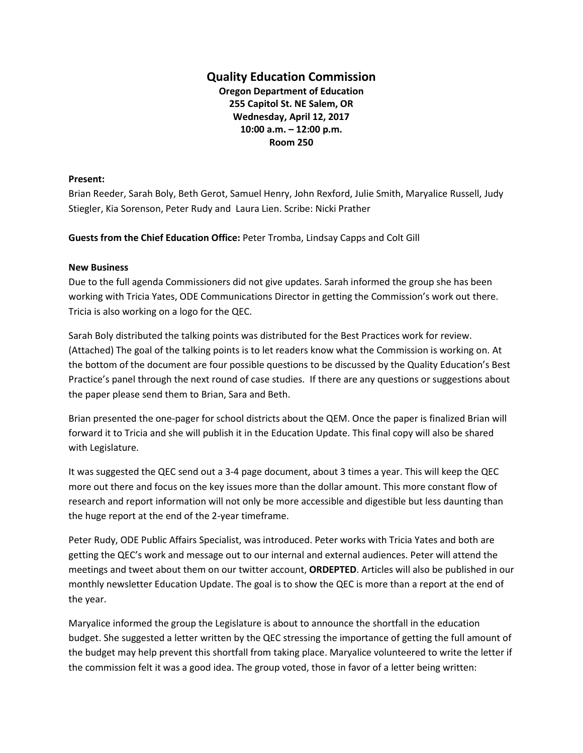## **Quality Education Commission**

**Oregon Department of Education 255 Capitol St. NE Salem, OR Wednesday, April 12, 2017 10:00 a.m. – 12:00 p.m. Room 250**

## **Present:**

Brian Reeder, Sarah Boly, Beth Gerot, Samuel Henry, John Rexford, Julie Smith, Maryalice Russell, Judy Stiegler, Kia Sorenson, Peter Rudy and Laura Lien. Scribe: Nicki Prather

**Guests from the Chief Education Office:** Peter Tromba, Lindsay Capps and Colt Gill

## **New Business**

Due to the full agenda Commissioners did not give updates. Sarah informed the group she has been working with Tricia Yates, ODE Communications Director in getting the Commission's work out there. Tricia is also working on a logo for the QEC.

Sarah Boly distributed the talking points was distributed for the Best Practices work for review. (Attached) The goal of the talking points is to let readers know what the Commission is working on. At the bottom of the document are four possible questions to be discussed by the Quality Education's Best Practice's panel through the next round of case studies. If there are any questions or suggestions about the paper please send them to Brian, Sara and Beth.

Brian presented the one-pager for school districts about the QEM. Once the paper is finalized Brian will forward it to Tricia and she will publish it in the Education Update. This final copy will also be shared with Legislature.

It was suggested the QEC send out a 3-4 page document, about 3 times a year. This will keep the QEC more out there and focus on the key issues more than the dollar amount. This more constant flow of research and report information will not only be more accessible and digestible but less daunting than the huge report at the end of the 2-year timeframe.

Peter Rudy, ODE Public Affairs Specialist, was introduced. Peter works with Tricia Yates and both are getting the QEC's work and message out to our internal and external audiences. Peter will attend the meetings and tweet about them on our twitter account, **ORDEPTED**. Articles will also be published in our monthly newsletter Education Update. The goal is to show the QEC is more than a report at the end of the year.

Maryalice informed the group the Legislature is about to announce the shortfall in the education budget. She suggested a letter written by the QEC stressing the importance of getting the full amount of the budget may help prevent this shortfall from taking place. Maryalice volunteered to write the letter if the commission felt it was a good idea. The group voted, those in favor of a letter being written: